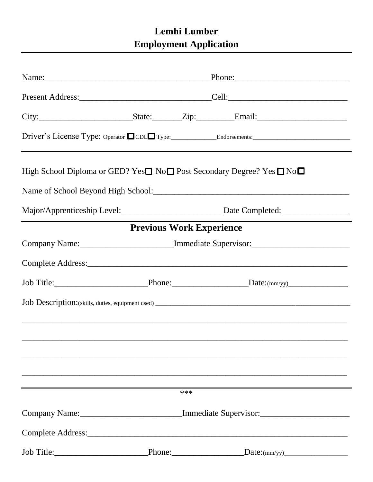## Lemhi Lumber **Employment Application**

| High School Diploma or GED? Yes□ No□ Post Secondary Degree? Yes □ No□ |                                                                                   |                                                                                   |
|-----------------------------------------------------------------------|-----------------------------------------------------------------------------------|-----------------------------------------------------------------------------------|
|                                                                       |                                                                                   |                                                                                   |
|                                                                       |                                                                                   | Major/Apprenticeship Level: Date Completed: Date Completed:                       |
|                                                                       | <b>Previous Work Experience</b>                                                   |                                                                                   |
|                                                                       |                                                                                   | Company Name: __________________________Immediate Supervisor: ___________________ |
|                                                                       |                                                                                   |                                                                                   |
|                                                                       |                                                                                   |                                                                                   |
|                                                                       |                                                                                   |                                                                                   |
|                                                                       |                                                                                   |                                                                                   |
|                                                                       |                                                                                   |                                                                                   |
|                                                                       |                                                                                   |                                                                                   |
|                                                                       |                                                                                   |                                                                                   |
|                                                                       | ***                                                                               |                                                                                   |
|                                                                       | Company Name: ____________________________Immediate Supervisor: _________________ |                                                                                   |
|                                                                       |                                                                                   |                                                                                   |
|                                                                       |                                                                                   |                                                                                   |